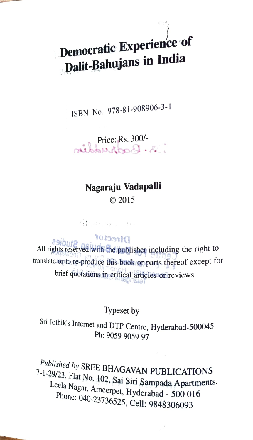## Democratic Experience of Dalit-Bahujans in India

ISBN No. 978-81-908906-3-1

Price: Rs. 300/-

### Nagaraju Vadapalli 2015

100000000000

**POLISSTIC**<br>All rights reserved with the publisher including the right to translate or to re-produce this book or parts thereof except for brief quotations in eritical articles or reviews.

#### Typeset by

Sri Jothik's Internet and DTP Centre, Hyderabad-500045<br>Ph: 9059 9059 97

Published by SREE BHAGAVAN PUBLICATIONS<br>7-1-29/23, Flat No, 102, Sai Siri Sampada Apartments, Leela Nagar, Ameerpet, Hyderabad - 500 016 Phone: 040-23736525, Cell: 9848306093